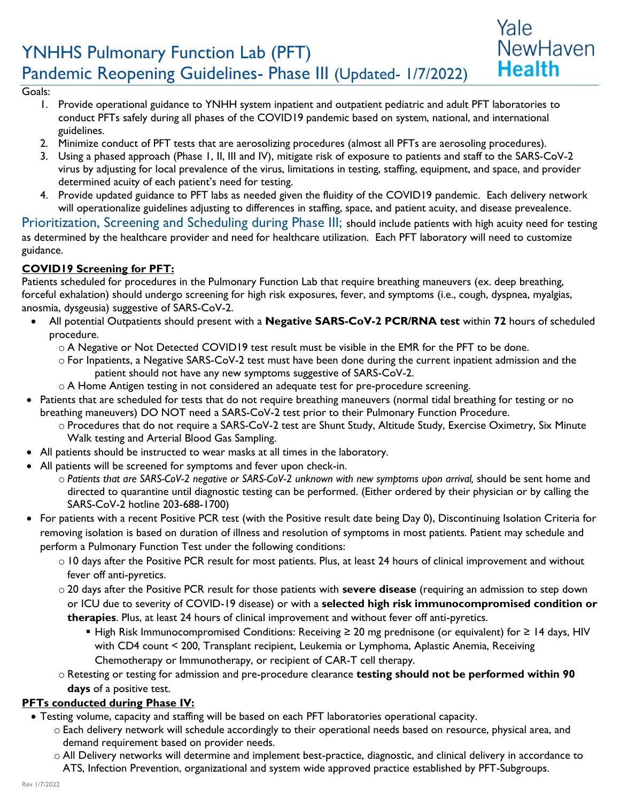# YNHHS Pulmonary Function Lab (PFT) Pandemic Reopening Guidelines- Phase III (Updated- 1/7/2022)

#### Goals:

- 1. Provide operational guidance to YNHH system inpatient and outpatient pediatric and adult PFT laboratories to conduct PFTs safely during all phases of the COVID19 pandemic based on system, national, and international guidelines.
- 2. Minimize conduct of PFT tests that are aerosolizing procedures (almost all PFTs are aerosoling procedures).
- 3. Using a phased approach (Phase 1, II, III and IV), mitigate risk of exposure to patients and staff to the SARS-CoV-2 virus by adjusting for local prevalence of the virus, limitations in testing, staffing, equipment, and space, and provider determined acuity of each patient's need for testing.

Yale

NewHaven

**Health** 

4. Provide updated guidance to PFT labs as needed given the fluidity of the COVID19 pandemic. Each delivery network will operationalize guidelines adjusting to differences in staffing, space, and patient acuity, and disease prevealence.

Prioritization, Screening and Scheduling during Phase III; should include patients with high acuity need for testing as determined by the healthcare provider and need for healthcare utilization. Each PFT laboratory will need to customize guidance.

## **COVID19 Screening for PFT:**

Patients scheduled for procedures in the Pulmonary Function Lab that require breathing maneuvers (ex. deep breathing, forceful exhalation) should undergo screening for high risk exposures, fever, and symptoms (i.e., cough, dyspnea, myalgias, anosmia, dysgeusia) suggestive of SARS-CoV-2.

- All potential Outpatients should present with a **Negative SARS-CoV-2 PCR/RNA test** within **72** hours of scheduled procedure.
	- o A Negative or Not Detected COVID19 test result must be visible in the EMR for the PFT to be done.
	- o For Inpatients, a Negative SARS-CoV-2 test must have been done during the current inpatient admission and the patient should not have any new symptoms suggestive of SARS-CoV-2.
	- o A Home Antigen testing in not considered an adequate test for pre-procedure screening.
- Patients that are scheduled for tests that do not require breathing maneuvers (normal tidal breathing for testing or no breathing maneuvers) DO NOT need a SARS-CoV-2 test prior to their Pulmonary Function Procedure.
	- o Procedures that do not require a SARS-CoV-2 test are Shunt Study, Altitude Study, Exercise Oximetry, Six Minute Walk testing and Arterial Blood Gas Sampling.
- All patients should be instructed to wear masks at all times in the laboratory.
- All patients will be screened for symptoms and fever upon check-in.
	- o *Patients that are SARS-CoV-2 negative or SARS-CoV-2 unknown with new symptoms upon arrival,* should be sent home and directed to quarantine until diagnostic testing can be performed. (Either ordered by their physician or by calling the SARS-CoV-2 hotline 203-688-1700)
- For patients with a recent Positive PCR test (with the Positive result date being Day 0), Discontinuing Isolation Criteria for removing isolation is based on duration of illness and resolution of symptoms in most patients. Patient may schedule and perform a Pulmonary Function Test under the following conditions:
	- o 10 days after the Positive PCR result for most patients. Plus, at least 24 hours of clinical improvement and without fever off anti-pyretics.
	- o 20 days after the Positive PCR result for those patients with **severe disease** (requiring an admission to step down or ICU due to severity of COVID-19 disease) or with a **selected high risk immunocompromised condition or therapies**. Plus, at least 24 hours of clinical improvement and without fever off anti-pyretics.
		- High Risk Immunocompromised Conditions: Receiving ≥ 20 mg prednisone (or equivalent) for ≥ 14 days, HIV with CD4 count < 200, Transplant recipient, Leukemia or Lymphoma, Aplastic Anemia, Receiving Chemotherapy or Immunotherapy, or recipient of CAR-T cell therapy.
	- o Retesting or testing for admission and pre-procedure clearance **testing should not be performed within 90 days** of a positive test.

#### **PFTs conducted during Phase IV:**

- Testing volume, capacity and staffing will be based on each PFT laboratories operational capacity.
	- o Each delivery network will schedule accordingly to their operational needs based on resource, physical area, and demand requirement based on provider needs.
	- o All Delivery networks will determine and implement best-practice, diagnostic, and clinical delivery in accordance to ATS, Infection Prevention, organizational and system wide approved practice established by PFT-Subgroups.